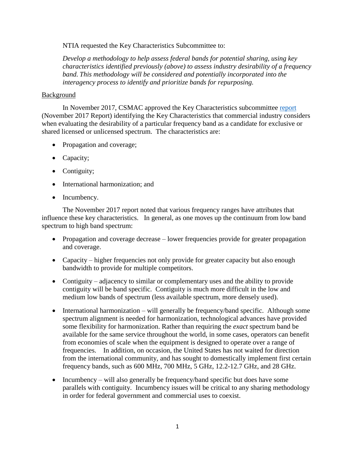NTIA requested the Key Characteristics Subcommittee to:

*Develop a methodology to help assess federal bands for potential sharing, using key characteristics identified previously (above) to assess industry desirability of a frequency band. This methodology will be considered and potentially incorporated into the interagency process to identify and prioritize bands for repurposing.*

## Background

In November 2017, CSMAC approved the Key Characteristics subcommittee [report](https://www.ntia.doc.gov/files/ntia/publications/key_characteristics_sub-committee_final_report_nov_17_2017.pdf) (November 2017 Report) identifying the Key Characteristics that commercial industry considers when evaluating the desirability of a particular frequency band as a candidate for exclusive or shared licensed or unlicensed spectrum. The characteristics are:

- Propagation and coverage;
- Capacity;
- Contiguity;
- International harmonization; and
- Incumbency.

The November 2017 report noted that various frequency ranges have attributes that influence these key characteristics. In general, as one moves up the continuum from low band spectrum to high band spectrum:

- Propagation and coverage decrease lower frequencies provide for greater propagation and coverage.
- Capacity higher frequencies not only provide for greater capacity but also enough bandwidth to provide for multiple competitors.
- Contiguity adjacency to similar or complementary uses and the ability to provide contiguity will be band specific. Contiguity is much more difficult in the low and medium low bands of spectrum (less available spectrum, more densely used).
- International harmonization will generally be frequency/band specific. Although some spectrum alignment is needed for harmonization, technological advances have provided some flexibility for harmonization. Rather than requiring the *exact* spectrum band be available for the same service throughout the world, in some cases, operators can benefit from economies of scale when the equipment is designed to operate over a range of frequencies. In addition, on occasion, the United States has not waited for direction from the international community, and has sought to domestically implement first certain frequency bands, such as 600 MHz, 700 MHz, 5 GHz, 12.2-12.7 GHz, and 28 GHz.
- Incumbency will also generally be frequency/band specific but does have some parallels with contiguity. Incumbency issues will be critical to any sharing methodology in order for federal government and commercial uses to coexist.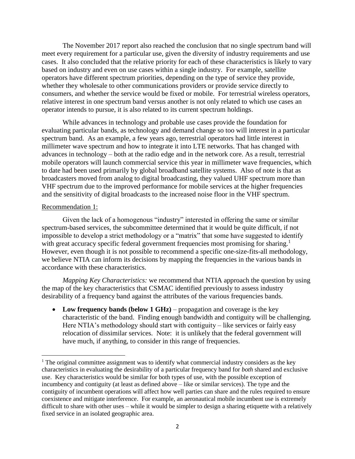The November 2017 report also reached the conclusion that no single spectrum band will meet every requirement for a particular use, given the diversity of industry requirements and use cases. It also concluded that the relative priority for each of these characteristics is likely to vary based on industry and even on use cases within a single industry. For example, satellite operators have different spectrum priorities, depending on the type of service they provide, whether they wholesale to other communications providers or provide service directly to consumers, and whether the service would be fixed or mobile. For terrestrial wireless operators, relative interest in one spectrum band versus another is not only related to which use cases an operator intends to pursue, it is also related to its current spectrum holdings.

While advances in technology and probable use cases provide the foundation for evaluating particular bands, as technology and demand change so too will interest in a particular spectrum band. As an example, a few years ago, terrestrial operators had little interest in millimeter wave spectrum and how to integrate it into LTE networks. That has changed with advances in technology – both at the radio edge and in the network core. As a result, terrestrial mobile operators will launch commercial service this year in millimeter wave frequencies, which to date had been used primarily by global broadband satellite systems. Also of note is that as broadcasters moved from analog to digital broadcasting, they valued UHF spectrum more than VHF spectrum due to the improved performance for mobile services at the higher frequencies and the sensitivity of digital broadcasts to the increased noise floor in the VHF spectrum.

## Recommendation 1:

 $\overline{\phantom{a}}$ 

Given the lack of a homogenous "industry" interested in offering the same or similar spectrum-based services, the subcommittee determined that it would be quite difficult, if not impossible to develop a strict methodology or a "matrix" that some have suggested to identify with great accuracy specific federal government frequencies most promising for sharing.<sup>1</sup> However, even though it is not possible to recommend a specific one-size-fits-all methodology, we believe NTIA can inform its decisions by mapping the frequencies in the various bands in accordance with these characteristics.

*Mapping Key Characteristics:* we recommend that NTIA approach the question by using the map of the key characteristics that CSMAC identified previously to assess industry desirability of a frequency band against the attributes of the various frequencies bands.

 **Low frequency bands (below 1 GHz)** – propagation and coverage is the key characteristic of the band. Finding enough bandwidth and contiguity will be challenging. Here NTIA's methodology should start with contiguity – like services or fairly easy relocation of dissimilar services. Note: it is unlikely that the federal government will have much, if anything, to consider in this range of frequencies.

<sup>&</sup>lt;sup>1</sup> The original committee assignment was to identify what commercial industry considers as the key characteristics in evaluating the desirability of a particular frequency band for *both* shared and exclusive use. Key characteristics would be similar for both types of use, with the possible exception of incumbency and contiguity (at least as defined above – like or similar services). The type and the contiguity of incumbent operations will affect how well parties can share and the rules required to ensure coexistence and mitigate interference. For example, an aeronautical mobile incumbent use is extremely difficult to share with other uses – while it would be simpler to design a sharing etiquette with a relatively fixed service in an isolated geographic area.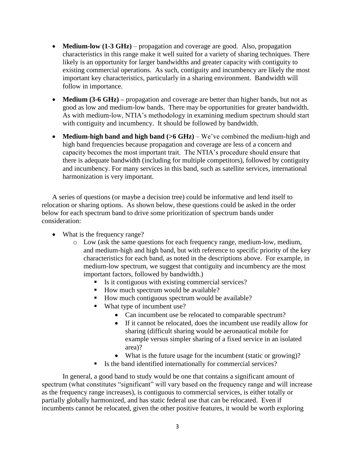- **Medium-low (1-3 GHz)** propagation and coverage are good. Also, propagation characteristics in this range make it well suited for a variety of sharing techniques. There likely is an opportunity for larger bandwidths and greater capacity with contiguity to existing commercial operations. As such, contiguity and incumbency are likely the most important key characteristics, particularly in a sharing environment. Bandwidth will follow in importance.
- **Medium (3-6 GHz)** propagation and coverage are better than higher bands, but not as good as low and medium-low bands. There may be opportunities for greater bandwidth. As with medium-low, NTIA's methodology in examining medium spectrum should start with contiguity and incumbency. It should be followed by bandwidth.
- Medium-high band and high band (>6 GHz) We've combined the medium-high and high band frequencies because propagation and coverage are less of a concern and capacity becomes the most important trait. The NTIA's procedure should ensure that there is adequate bandwidth (including for multiple competitors), followed by contiguity and incumbency. For many services in this band, such as satellite services, international harmonization is very important.

A series of questions (or maybe a decision tree) could be informative and lend itself to relocation or sharing options. As shown below, these questions could be asked in the order below for each spectrum band to drive some prioritization of spectrum bands under consideration:

- What is the frequency range?
	- o Low (ask the same questions for each frequency range, medium-low, medium, and medium-high and high band, but with reference to specific priority of the key characteristics for each band, as noted in the descriptions above. For example, in medium-low spectrum, we suggest that contiguity and incumbency are the most important factors, followed by bandwidth.)
		- Is it contiguous with existing commercial services?
		- How much spectrum would be available?
		- How much contiguous spectrum would be available?
		- What type of incumbent use?
			- Can incumbent use be relocated to comparable spectrum?
			- If it cannot be relocated, does the incumbent use readily allow for sharing (difficult sharing would be aeronautical mobile for example versus simpler sharing of a fixed service in an isolated area)?
			- What is the future usage for the incumbent (static or growing)?
		- Is the band identified internationally for commercial services?

In general, a good band to study would be one that contains a significant amount of spectrum (what constitutes "significant" will vary based on the frequency range and will increase as the frequency range increases), is contiguous to commercial services, is either totally or partially globally harmonized, and has static federal use that can be relocated. Even if incumbents cannot be relocated, given the other positive features, it would be worth exploring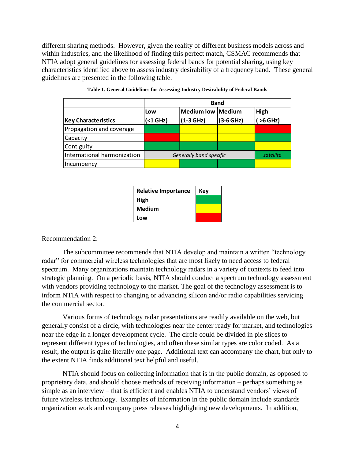different sharing methods. However, given the reality of different business models across and within industries, and the likelihood of finding this perfect match, CSMAC recommends that NTIA adopt general guidelines for assessing federal bands for potential sharing, using key characteristics identified above to assess industry desirability of a frequency band. These general guidelines are presented in the following table.

|                             | <b>Band</b>             |                   |             |             |
|-----------------------------|-------------------------|-------------------|-------------|-------------|
|                             | Low                     | Medium low Medium |             | <b>High</b> |
| <b>Key Characteristics</b>  | (<1 GHz)                | $(1-3 GHz)$       | $(3-6 GHz)$ | $>6$ GHz)   |
| Propagation and coverage    |                         |                   |             |             |
| Capacity                    |                         |                   |             |             |
| Contiguity                  |                         |                   |             |             |
| International harmonization | Generally band specific |                   |             | satellite   |
| Incumbency                  |                         |                   |             |             |

| <b>Relative Importance</b> | Key |  |
|----------------------------|-----|--|
| High                       |     |  |
| <b>Medium</b>              |     |  |
| Low                        |     |  |

## Recommendation 2:

The subcommittee recommends that NTIA develop and maintain a written "technology radar" for commercial wireless technologies that are most likely to need access to federal spectrum. Many organizations maintain technology radars in a variety of contexts to feed into strategic planning. On a periodic basis, NTIA should conduct a spectrum technology assessment with vendors providing technology to the market. The goal of the technology assessment is to inform NTIA with respect to changing or advancing silicon and/or radio capabilities servicing the commercial sector.

Various forms of technology radar presentations are readily available on the web, but generally consist of a circle, with technologies near the center ready for market, and technologies near the edge in a longer development cycle. The circle could be divided in pie slices to represent different types of technologies, and often these similar types are color coded. As a result, the output is quite literally one page. Additional text can accompany the chart, but only to the extent NTIA finds additional text helpful and useful.

NTIA should focus on collecting information that is in the public domain, as opposed to proprietary data, and should choose methods of receiving information – perhaps something as simple as an interview – that is efficient and enables NTIA to understand vendors' views of future wireless technology. Examples of information in the public domain include standards organization work and company press releases highlighting new developments. In addition,